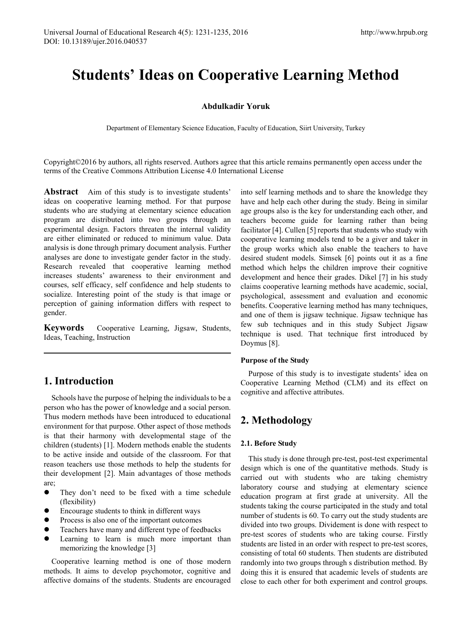# **Students' Ideas on Cooperative Learning Method**

#### **Abdulkadir Yoruk**

Department of Elementary Science Education, Faculty of Education, Siirt University, Turkey

Copyright©2016 by authors, all rights reserved. Authors agree that this article remains permanently open access under the terms of the Creative Commons Attribution License 4.0 International License

**Abstract** Aim of this study is to investigate students' ideas on cooperative learning method. For that purpose students who are studying at elementary science education program are distributed into two groups through an experimental design. Factors threaten the internal validity are either eliminated or reduced to minimum value. Data analysis is done through primary document analysis. Further analyses are done to investigate gender factor in the study. Research revealed that cooperative learning method increases students' awareness to their environment and courses, self efficacy, self confidence and help students to socialize. Interesting point of the study is that image or perception of gaining information differs with respect to gender.

**Keywords** Cooperative Learning, Jigsaw, Students, Ideas, Teaching, Instruction

# **1. Introduction**

Schools have the purpose of helping the individuals to be a person who has the power of knowledge and a social person. Thus modern methods have been introduced to educational environment for that purpose. Other aspect of those methods is that their harmony with developmental stage of the children (students) [1]. Modern methods enable the students to be active inside and outside of the classroom. For that reason teachers use those methods to help the students for their development [2]. Main advantages of those methods are;

- They don't need to be fixed with a time schedule (flexibility)
- Encourage students to think in different ways
- Process is also one of the important outcomes
- Teachers have many and different type of feedbacks
- **•** Learning to learn is much more important than memorizing the knowledge [3]

Cooperative learning method is one of those modern methods. It aims to develop psychomotor, cognitive and affective domains of the students. Students are encouraged

into self learning methods and to share the knowledge they have and help each other during the study. Being in similar age groups also is the key for understanding each other, and teachers become guide for learning rather than being facilitator [4]. Cullen [5] reports that students who study with cooperative learning models tend to be a giver and taker in the group works which also enable the teachers to have desired student models. Simsek [6] points out it as a fine method which helps the children improve their cognitive development and hence their grades. Dikel [7] in his study claims cooperative learning methods have academic, social, psychological, assessment and evaluation and economic benefits. Cooperative learning method has many techniques, and one of them is jigsaw technique. Jigsaw technique has few sub techniques and in this study Subject Jigsaw technique is used. That technique first introduced by Doymus [8].

#### **Purpose of the Study**

Purpose of this study is to investigate students' idea on Cooperative Learning Method (CLM) and its effect on cognitive and affective attributes.

## **2. Methodology**

#### **2.1. Before Study**

This study is done through pre-test, post-test experimental design which is one of the quantitative methods. Study is carried out with students who are taking chemistry laboratory course and studying at elementary science education program at first grade at university. All the students taking the course participated in the study and total number of students is 60. To carry out the study students are divided into two groups. Dividement is done with respect to pre-test scores of students who are taking course. Firstly students are listed in an order with respect to pre-test scores, consisting of total 60 students. Then students are distributed randomly into two groups through s distribution method. By doing this it is ensured that academic levels of students are close to each other for both experiment and control groups.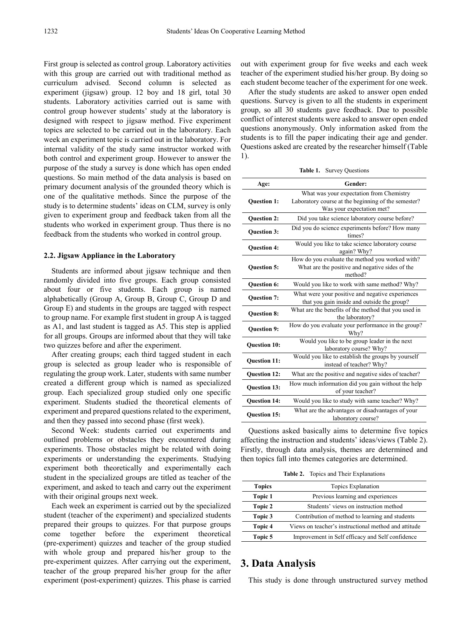First group is selected as control group. Laboratory activities with this group are carried out with traditional method as curriculum advised. Second column is selected as experiment (jigsaw) group. 12 boy and 18 girl, total 30 students. Laboratory activities carried out is same with control group however students' study at the laboratory is designed with respect to jigsaw method. Five experiment topics are selected to be carried out in the laboratory. Each week an experiment topic is carried out in the laboratory. For internal validity of the study same instructor worked with both control and experiment group. However to answer the purpose of the study a survey is done which has open ended questions. So main method of the data analysis is based on primary document analysis of the grounded theory which is one of the qualitative methods. Since the purpose of the study is to determine students' ideas on CLM, survey is only given to experiment group and feedback taken from all the students who worked in experiment group. Thus there is no feedback from the students who worked in control group.

#### **2.2. Jigsaw Appliance in the Laboratory**

Students are informed about jigsaw technique and then randomly divided into five groups. Each group consisted about four or five students. Each group is named alphabetically (Group A, Group B, Group C, Group D and Group E) and students in the groups are tagged with respect to group name. For example first student in group A is tagged as A1, and last student is tagged as A5. This step is applied for all groups. Groups are informed about that they will take two quizzes before and after the experiment.

After creating groups; each third tagged student in each group is selected as group leader who is responsible of regulating the group work. Later, students with same number created a different group which is named as specialized group. Each specialized group studied only one specific experiment. Students studied the theoretical elements of experiment and prepared questions related to the experiment, and then they passed into second phase (first week).

Second Week: students carried out experiments and outlined problems or obstacles they encountered during experiments. Those obstacles might be related with doing experiments or understanding the experiments. Studying experiment both theoretically and experimentally each student in the specialized groups are titled as teacher of the experiment, and asked to teach and carry out the experiment with their original groups next week.

Each week an experiment is carried out by the specialized student (teacher of the experiment) and specialized students prepared their groups to quizzes. For that purpose groups come together before the experiment theoretical (pre-experiment) quizzes and teacher of the group studied with whole group and prepared his/her group to the pre-experiment quizzes. After carrying out the experiment, teacher of the group prepared his/her group for the after experiment (post-experiment) quizzes. This phase is carried

out with experiment group for five weeks and each week teacher of the experiment studied his/her group. By doing so each student become teacher of the experiment for one week.

After the study students are asked to answer open ended questions. Survey is given to all the students in experiment group, so all 30 students gave feedback. Due to possible conflict of interest students were asked to answer open ended questions anonymously. Only information asked from the students is to fill the paper indicating their age and gender. Questions asked are created by the researcher himself (Table 1).

**Table 1.** Survey Questions

| Age:                | Gender:                                                                                                                      |
|---------------------|------------------------------------------------------------------------------------------------------------------------------|
| <b>Question 1:</b>  | What was your expectation from Chemistry<br>Laboratory course at the beginning of the semester?<br>Was your expectation met? |
| <b>Question 2:</b>  | Did you take science laboratory course before?                                                                               |
| <b>Ouestion 3:</b>  | Did you do science experiments before? How many<br>times?                                                                    |
| <b>Question 4:</b>  | Would you like to take science laboratory course<br>again? Why?                                                              |
| <b>Question 5:</b>  | How do you evaluate the method you worked with?<br>What are the positive and negative sides of the<br>method?                |
| <b>Ouestion 6:</b>  | Would you like to work with same method? Why?                                                                                |
| <b>Ouestion 7:</b>  | What were your positive and negative experiences<br>that you gain inside and outside the group?                              |
| <b>Ouestion 8:</b>  | What are the benefits of the method that you used in<br>the laboratory?                                                      |
| <b>Ouestion 9:</b>  | How do you evaluate your performance in the group?<br>Why?                                                                   |
| <b>Ouestion 10:</b> | Would you like to be group leader in the next<br>laboratory course? Why?                                                     |
| <b>Ouestion 11:</b> | Would you like to establish the groups by yourself<br>instead of teacher? Why?                                               |
| <b>Ouestion 12:</b> | What are the positive and negative sides of teacher?                                                                         |
| <b>Question 13:</b> | How much information did you gain without the help<br>of your teacher?                                                       |
| <b>Ouestion 14:</b> | Would you like to study with same teacher? Why?                                                                              |
| <b>Ouestion 15:</b> | What are the advantages or disadvantages of your<br>laboratory course?                                                       |

Questions asked basically aims to determine five topics affecting the instruction and students' ideas/views (Table 2). Firstly, through data analysis, themes are determined and then topics fall into themes categories are determined.

**Table 2.** Topics and Their Explanations

| <b>Topics</b> | Topics Explanation                                   |
|---------------|------------------------------------------------------|
| Topic 1       | Previous learning and experiences                    |
| Topic 2       | Students' views on instruction method                |
| Topic 3       | Contribution of method to learning and students      |
| Topic 4       | Views on teacher's instructional method and attitude |
| Topic 5       | Improvement in Self efficacy and Self confidence     |

### **3. Data Analysis**

This study is done through unstructured survey method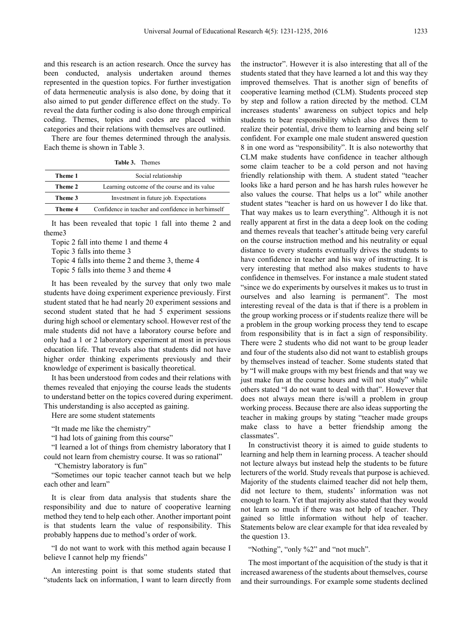and this research is an action research. Once the survey has been conducted, analysis undertaken around themes represented in the question topics. For further investigation of data hermeneutic analysis is also done, by doing that it also aimed to put gender difference effect on the study. To reveal the data further coding is also done through empirical coding. Themes, topics and codes are placed within categories and their relations with themselves are outlined.

There are four themes determined through the analysis. Each theme is shown in Table 3.

**Table 3.** Themes

| Theme 1 | Social relationship                                 |
|---------|-----------------------------------------------------|
| Theme 2 | Learning outcome of the course and its value        |
| Theme 3 | Investment in future job. Expectations              |
| Theme 4 | Confidence in teacher and confidence in her/himself |

It has been revealed that topic 1 fall into theme 2 and theme3

Topic 2 fall into theme 1 and theme 4

Topic 3 falls into theme 3

Topic 4 falls into theme 2 and theme 3, theme 4

Topic 5 falls into theme 3 and theme 4

It has been revealed by the survey that only two male students have doing experiment experience previously. First student stated that he had nearly 20 experiment sessions and second student stated that he had 5 experiment sessions during high school or elementary school. However rest of the male students did not have a laboratory course before and only had a 1 or 2 laboratory experiment at most in previous education life. That reveals also that students did not have higher order thinking experiments previously and their knowledge of experiment is basically theoretical.

It has been understood from codes and their relations with themes revealed that enjoying the course leads the students to understand better on the topics covered during experiment. This understanding is also accepted as gaining.

Here are some student statements

"It made me like the chemistry"

"I had lots of gaining from this course"

"I learned a lot of things from chemistry laboratory that I could not learn from chemistry course. It was so rational"

"Chemistry laboratory is fun"

"Sometimes our topic teacher cannot teach but we help each other and learn"

It is clear from data analysis that students share the responsibility and due to nature of cooperative learning method they tend to help each other. Another important point is that students learn the value of responsibility. This probably happens due to method's order of work.

"I do not want to work with this method again because I believe I cannot help my friends"

An interesting point is that some students stated that "students lack on information, I want to learn directly from

the instructor". However it is also interesting that all of the students stated that they have learned a lot and this way they improved themselves. That is another sign of benefits of cooperative learning method (CLM). Students proceed step by step and follow a ration directed by the method. CLM increases students' awareness on subject topics and help students to bear responsibility which also drives them to realize their potential, drive them to learning and being self confident. For example one male student answered question 8 in one word as "responsibility". It is also noteworthy that CLM make students have confidence in teacher although some claim teacher to be a cold person and not having friendly relationship with them. A student stated "teacher looks like a hard person and he has harsh rules however he also values the course. That helps us a lot" while another student states "teacher is hard on us however I do like that. That way makes us to learn everything". Although it is not really apparent at first in the data a deep look on the coding and themes reveals that teacher's attitude being very careful on the course instruction method and his neutrality or equal distance to every students eventually drives the students to have confidence in teacher and his way of instructing. It is very interesting that method also makes students to have confidence in themselves. For instance a male student stated "since we do experiments by ourselves it makes us to trust in ourselves and also learning is permanent". The most interesting reveal of the data is that if there is a problem in the group working process or if students realize there will be a problem in the group working process they tend to escape from responsibility that is in fact a sign of responsibility. There were 2 students who did not want to be group leader and four of the students also did not want to establish groups by themselves instead of teacher. Some students stated that by "I will make groups with my best friends and that way we just make fun at the course hours and will not study" while others stated "I do not want to deal with that". However that does not always mean there is/will a problem in group working process. Because there are also ideas supporting the teacher in making groups by stating "teacher made groups make class to have a better friendship among the classmates".

In constructivist theory it is aimed to guide students to learning and help them in learning process. A teacher should not lecture always but instead help the students to be future lecturers of the world. Study reveals that purpose is achieved. Majority of the students claimed teacher did not help them, did not lecture to them, students' information was not enough to learn. Yet that majority also stated that they would not learn so much if there was not help of teacher. They gained so little information without help of teacher. Statements below are clear example for that idea revealed by the question 13.

"Nothing", "only %2" and "not much".

The most important of the acquisition of the study is that it increased awareness of the students about themselves, course and their surroundings. For example some students declined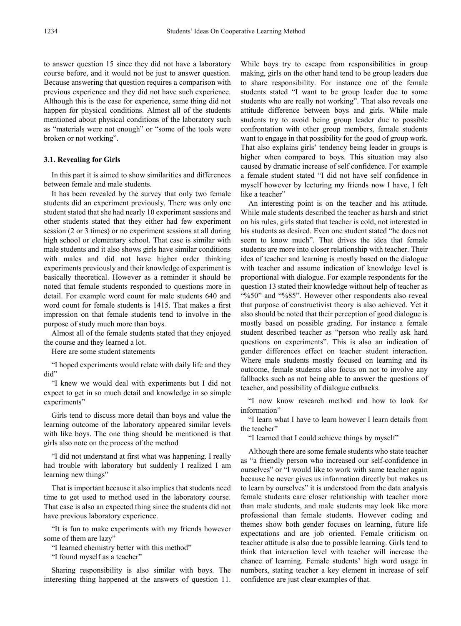to answer question 15 since they did not have a laboratory course before, and it would not be just to answer question. Because answering that question requires a comparison with previous experience and they did not have such experience. Although this is the case for experience, same thing did not happen for physical conditions. Almost all of the students mentioned about physical conditions of the laboratory such as "materials were not enough" or "some of the tools were broken or not working".

#### **3.1. Revealing for Girls**

In this part it is aimed to show similarities and differences between female and male students.

It has been revealed by the survey that only two female students did an experiment previously. There was only one student stated that she had nearly 10 experiment sessions and other students stated that they either had few experiment session (2 or 3 times) or no experiment sessions at all during high school or elementary school. That case is similar with male students and it also shows girls have similar conditions with males and did not have higher order thinking experiments previously and their knowledge of experiment is basically theoretical. However as a reminder it should be noted that female students responded to questions more in detail. For example word count for male students 640 and word count for female students is 1415. That makes a first impression on that female students tend to involve in the purpose of study much more than boys.

Almost all of the female students stated that they enjoyed the course and they learned a lot.

Here are some student statements

"I hoped experiments would relate with daily life and they did"

"I knew we would deal with experiments but I did not expect to get in so much detail and knowledge in so simple experiments"

Girls tend to discuss more detail than boys and value the learning outcome of the laboratory appeared similar levels with like boys. The one thing should be mentioned is that girls also note on the process of the method

"I did not understand at first what was happening. I really had trouble with laboratory but suddenly I realized I am learning new things"

That is important because it also implies that students need time to get used to method used in the laboratory course. That case is also an expected thing since the students did not have previous laboratory experience.

"It is fun to make experiments with my friends however some of them are lazy"

"I learned chemistry better with this method"

"I found myself as a teacher"

Sharing responsibility is also similar with boys. The interesting thing happened at the answers of question 11.

While boys try to escape from responsibilities in group making, girls on the other hand tend to be group leaders due to share responsibility. For instance one of the female students stated "I want to be group leader due to some students who are really not working". That also reveals one attitude difference between boys and girls. While male students try to avoid being group leader due to possible confrontation with other group members, female students want to engage in that possibility for the good of group work. That also explains girls' tendency being leader in groups is higher when compared to boys. This situation may also caused by dramatic increase of self confidence. For example a female student stated "I did not have self confidence in myself however by lecturing my friends now I have, I felt like a teacher"

An interesting point is on the teacher and his attitude. While male students described the teacher as harsh and strict on his rules, girls stated that teacher is cold, not interested in his students as desired. Even one student stated "he does not seem to know much". That drives the idea that female students are more into closer relationship with teacher. Their idea of teacher and learning is mostly based on the dialogue with teacher and assume indication of knowledge level is proportional with dialogue. For example respondents for the question 13 stated their knowledge without help of teacher as "%50" and "%85". However other respondents also reveal that purpose of constructivist theory is also achieved. Yet it also should be noted that their perception of good dialogue is mostly based on possible grading. For instance a female student described teacher as "person who really ask hard questions on experiments". This is also an indication of gender differences effect on teacher student interaction. Where male students mostly focused on learning and its outcome, female students also focus on not to involve any fallbacks such as not being able to answer the questions of teacher, and possibility of dialogue cutbacks.

"I now know research method and how to look for information"

"I learn what I have to learn however I learn details from the teacher"

"I learned that I could achieve things by myself"

Although there are some female students who state teacher as "a friendly person who increased our self-confidence in ourselves" or "I would like to work with same teacher again because he never gives us information directly but makes us to learn by ourselves" it is understood from the data analysis female students care closer relationship with teacher more than male students, and male students may look like more professional than female students. However coding and themes show both gender focuses on learning, future life expectations and are job oriented. Female criticism on teacher attitude is also due to possible learning. Girls tend to think that interaction level with teacher will increase the chance of learning. Female students' high word usage in numbers, stating teacher a key element in increase of self confidence are just clear examples of that.